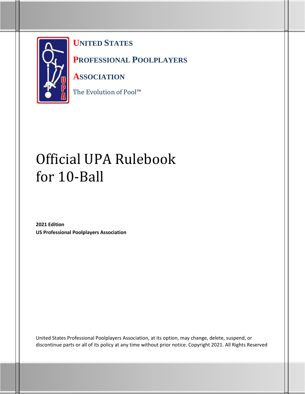

**UNITED STATES** 

**PROFESSIONAL POOLPLAYERS** 

**ASSOCIATION**

The Evolution of Pool™

# Official UPA Rulebook for 10-Ball

**2021 Edition US Professional Poolplayers Association**

United States Professional Poolplayers Association, at its option, may change, delete, suspend, or discontinue parts or all of its policy at any time without prior notice. Copyright 2021. All Rights Reserved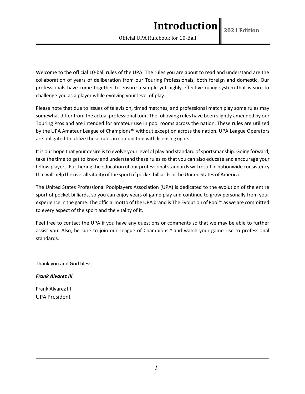Official UPA Rulebook for 10-Ball

Welcome to the official 10-ball rules of the UPA. The rules you are about to read and understand are the collaboration of years of deliberation from our Touring Professionals, both foreign and domestic. Our professionals have come together to ensure a simple yet highly effective ruling system that is sure to challenge you as a player while evolving your level of play.

Please note that due to issues of television, timed matches, and professional match play some rules may somewhat differ from the actual professional tour. The following rules have been slightly amended by our Touring Pros and are intended for amateur use in pool rooms across the nation. These rules are utilized by the UPA Amateur League of Champions™ without exception across the nation. UPA League Operators are obligated to utilize these rules in conjunction with licensingrights.

It is our hope that your desire is to evolve your level of play and standard of sportsmanship. Going forward, take the time to get to know and understand these rules so that you can also educate and encourage your fellow players. Furthering the education of our professional standards will result in nationwide consistency that will help the overall vitality of the sport of pocket billiards in the United States of America.

The United States Professional Poolplayers Association (UPA) is dedicated to the evolution of the entire sport of pocket billiards, so you can enjoy years of game play and continue to grow personally from your experience in the game. The official motto of the UPA brand is The Evolution of Pool™ as we are committed to every aspect of the sport and the vitality of it.

Feel free to contact the UPA if you have any questions or comments so that we may be able to further assist you. Also, be sure to join our League of Champions™ and watch your game rise to professional standards.

Thank you and God bless,

*Frank Alvarez III*

Frank Alvarez III UPA President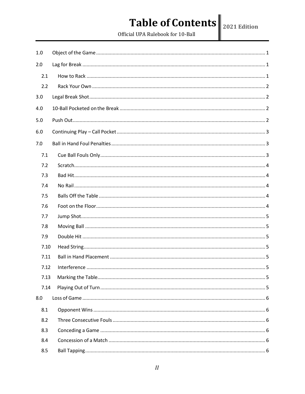# Table of Contents  $\|_{\text{2021 Edtition}}$

Official UPA Rulebook for 10-Ball

| 1.0  |  |  |  |
|------|--|--|--|
| 2.0  |  |  |  |
| 2.1  |  |  |  |
| 2.2  |  |  |  |
| 3.0  |  |  |  |
| 4.0  |  |  |  |
| 5.0  |  |  |  |
| 6.0  |  |  |  |
| 7.0  |  |  |  |
| 7.1  |  |  |  |
| 7.2  |  |  |  |
| 7.3  |  |  |  |
| 7.4  |  |  |  |
| 7.5  |  |  |  |
| 7.6  |  |  |  |
| 7.7  |  |  |  |
| 7.8  |  |  |  |
| 7.9  |  |  |  |
| 7.10 |  |  |  |
| 7.11 |  |  |  |
| 7.12 |  |  |  |
| 7.13 |  |  |  |
| 7.14 |  |  |  |
| 8.0  |  |  |  |
| 8.1  |  |  |  |
| 8.2  |  |  |  |
| 8.3  |  |  |  |
| 8.4  |  |  |  |
| 8.5  |  |  |  |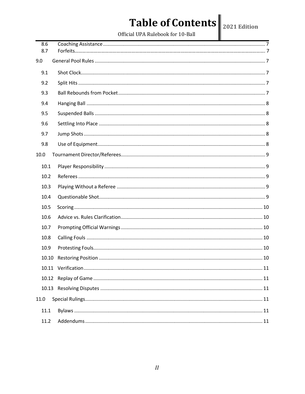# Table of Contents 2021 Edition

| 8.6<br>8.7 |  |  |  |
|------------|--|--|--|
|            |  |  |  |
| 9.0        |  |  |  |
| 9.1        |  |  |  |
| 9.2        |  |  |  |
| 9.3        |  |  |  |
| 9.4        |  |  |  |
| 9.5        |  |  |  |
| 9.6        |  |  |  |
| 9.7        |  |  |  |
| 9.8        |  |  |  |
| 10.0       |  |  |  |
| 10.1       |  |  |  |
| 10.2       |  |  |  |
| 10.3       |  |  |  |
| 10.4       |  |  |  |
| 10.5       |  |  |  |
| 10.6       |  |  |  |
| 10.7       |  |  |  |
| 10.8       |  |  |  |
| 10.9       |  |  |  |
| 10.10      |  |  |  |
|            |  |  |  |
|            |  |  |  |
|            |  |  |  |
| 11.0       |  |  |  |
| 11.1       |  |  |  |
| 11.2       |  |  |  |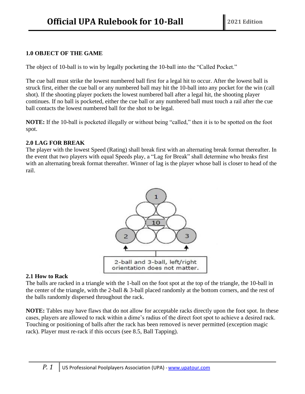# <span id="page-4-0"></span>**1.0 OBJECT OF THE GAME**

The object of 10-ball is to win by legally pocketing the 10-ball into the "Called Pocket."

The cue ball must strike the lowest numbered ball first for a legal hit to occur. After the lowest ball is struck first, either the cue ball or any numbered ball may hit the 10-ball into any pocket for the win (call shot). If the shooting player pockets the lowest numbered ball after a legal hit, the shooting player continues. If no ball is pocketed, either the cue ball or any numbered ball must touch a rail after the cue ball contacts the lowest numbered ball for the shot to be legal.

**NOTE:** If the 10-ball is pocketed illegally or without being "called," then it is to be spotted on the foot spot.

#### **2.0 LAG FOR BREAK**

The player with the lowest Speed (Rating) shall break first with an alternating break format thereafter. In the event that two players with equal Speeds play, a "Lag for Break" shall determine who breaks first with an alternating break format thereafter. Winner of lag is the player whose ball is closer to head of the rail.



#### **2.1 How to Rack**

The balls are racked in a triangle with the 1-ball on the foot spot at the top of the triangle, the 10-ball in the center of the triangle, with the 2-ball & 3-ball placed randomly at the bottom corners, and the rest of the balls randomly dispersed throughout the rack.

**NOTE:** Tables may have flaws that do not allow for acceptable racks directly upon the foot spot. In these cases, players are allowed to rack within a dime's radius of the direct foot spot to achieve a desired rack. Touching or positioning of balls after the rack has been removed is never permitted (exception magic rack). Player must re-rack if this occurs (see 8.5, Ball Tapping).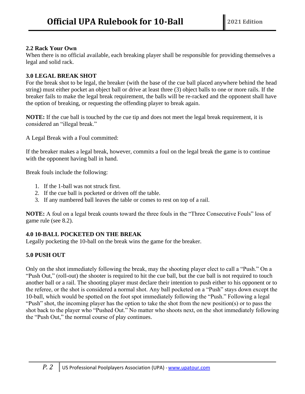# **2.2 Rack Your Own**

When there is no official available, each breaking player shall be responsible for providing themselves a legal and solid rack.

# **3.0 LEGAL BREAK SHOT**

For the break shot to be legal, the breaker (with the base of the cue ball placed anywhere behind the head string) must either pocket an object ball or drive at least three (3) object balls to one or more rails. If the breaker fails to make the legal break requirement, the balls will be re-racked and the opponent shall have the option of breaking, or requesting the offending player to break again.

**NOTE:** If the cue ball is touched by the cue tip and does not meet the legal break requirement, it is considered an "illegal break."

A Legal Break with a Foul committed:

If the breaker makes a legal break, however, commits a foul on the legal break the game is to continue with the opponent having ball in hand.

Break fouls include the following:

- 1. If the 1-ball was not struck first.
- 2. If the cue ball is pocketed or driven off the table.
- 3. If any numbered ball leaves the table or comes to rest on top of a rail.

**NOTE:** A foul on a legal break counts toward the three fouls in the "Three Consecutive Fouls" loss of game rule (see 8.2).

# **4.0 10-BALL POCKETED ON THE BREAK**

Legally pocketing the 10-ball on the break wins the game for the breaker.

# **5.0 PUSH OUT**

Only on the shot immediately following the break, may the shooting player elect to call a "Push." On a "Push Out," (roll-out) the shooter is required to hit the cue ball, but the cue ball is not required to touch another ball or a rail. The shooting player must declare their intention to push either to his opponent or to the referee, or the shot is considered a normal shot. Any ball pocketed on a "Push" stays down except the 10-ball, which would be spotted on the foot spot immediately following the "Push." Following a legal "Push" shot, the incoming player has the option to take the shot from the new position(s) or to pass the shot back to the player who "Pushed Out." No matter who shoots next, on the shot immediately following the "Push Out," the normal course of play continues.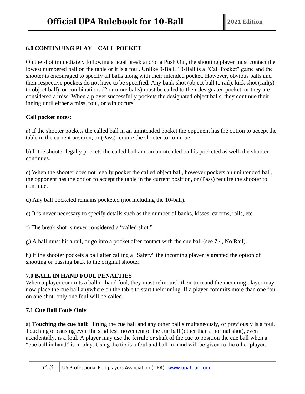# **6.0 CONTINUING PLAY – CALL POCKET**

On the shot immediately following a legal break and/or a Push Out, the shooting player must contact the lowest numbered ball on the table or it is a foul. Unlike 9-Ball, 10-Ball is a "Call Pocket" game and the shooter is encouraged to specify all balls along with their intended pocket. However, obvious balls and their respective pockets do not have to be specified. Any bank shot (object ball to rail), kick shot (rail(s) to object ball), or combinations (2 or more balls) must be called to their designated pocket, or they are considered a miss. When a player successfully pockets the designated object balls, they continue their inning until either a miss, foul, or win occurs.

#### **Call pocket notes:**

a) If the shooter pockets the called ball in an unintended pocket the opponent has the option to accept the table in the current position, or (Pass) require the shooter to continue.

b) If the shooter legally pockets the called ball and an unintended ball is pocketed as well, the shooter continues.

c) When the shooter does not legally pocket the called object ball, however pockets an unintended ball, the opponent has the option to accept the table in the current position, or (Pass) require the shooter to continue.

d) Any ball pocketed remains pocketed (not including the 10-ball).

e) It is never necessary to specify details such as the number of banks, kisses, caroms, rails, etc.

f) The break shot is never considered a "called shot."

g) A ball must hit a rail, or go into a pocket after contact with the cue ball (see 7.4, No Rail).

h) If the shooter pockets a ball after calling a "Safety" the incoming player is granted the option of shooting or passing back to the original shooter.

#### **7.0 BALL IN HAND FOUL PENALTIES**

When a player commits a ball in hand foul, they must relinquish their turn and the incoming player may now place the cue ball anywhere on the table to start their inning. If a player commits more than one foul on one shot, only one foul will be called.

# **7.1 Cue Ball Fouls Only**

a) **Touching the cue ball**: Hitting the cue ball and any other ball simultaneously, or previously is a foul. Touching or causing even the slightest movement of the cue ball (other than a normal shot), even accidentally, is a foul. A player may use the ferrule or shaft of the cue to position the cue ball when a "cue ball in hand" is in play. Using the tip is a foul and ball in hand will be given to the other player.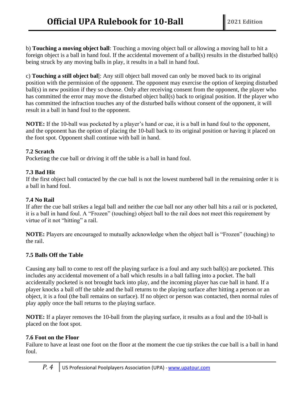b) **Touching a moving object ball**: Touching a moving object ball or allowing a moving ball to hit a foreign object is a ball in hand foul. If the accidental movement of a ball(s) results in the disturbed ball(s) being struck by any moving balls in play, it results in a ball in hand foul.

c) **Touching a still object bal**l: Any still object ball moved can only be moved back to its original position with the permission of the opponent. The opponent may exercise the option of keeping disturbed ball(s) in new position if they so choose. Only after receiving consent from the opponent, the player who has committed the error may move the disturbed object ball(s) back to original position. If the player who has committed the infraction touches any of the disturbed balls without consent of the opponent, it will result in a ball in hand foul to the opponent.

**NOTE:** If the 10-ball was pocketed by a player's hand or cue, it is a ball in hand foul to the opponent, and the opponent has the option of placing the 10-ball back to its original position or having it placed on the foot spot. Opponent shall continue with ball in hand.

#### **7.2 Scratch**

Pocketing the cue ball or driving it off the table is a ball in hand foul.

#### **7.3 Bad Hit**

If the first object ball contacted by the cue ball is not the lowest numbered ball in the remaining order it is a ball in hand foul.

#### **7.4 No Rail**

If after the cue ball strikes a legal ball and neither the cue ball nor any other ball hits a rail or is pocketed, it is a ball in hand foul. A "Frozen" (touching) object ball to the rail does not meet this requirement by virtue of it not "hitting" a rail.

**NOTE:** Players are encouraged to mutually acknowledge when the object ball is "Frozen" (touching) to the rail.

#### **7.5 Balls Off the Table**

Causing any ball to come to rest off the playing surface is a foul and any such ball(s) are pocketed. This includes any accidental movement of a ball which results in a ball falling into a pocket. The ball accidentally pocketed is not brought back into play, and the incoming player has cue ball in hand. If a player knocks a ball off the table and the ball returns to the playing surface after hitting a person or an object, it is a foul (the ball remains on surface). If no object or person was contacted, then normal rules of play apply once the ball returns to the playing surface.

**NOTE:** If a player removes the 10-ball from the playing surface, it results as a foul and the 10-ball is placed on the foot spot.

#### **7.6 Foot on the Floor**

Failure to have at least one foot on the floor at the moment the cue tip strikes the cue ball is a ball in hand foul.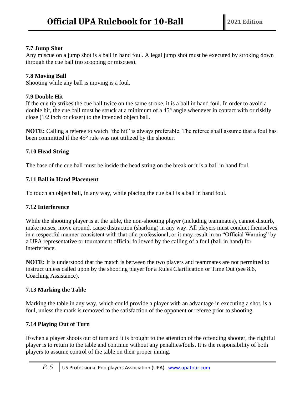# **7.7 Jump Shot**

Any miscue on a jump shot is a ball in hand foul. A legal jump shot must be executed by stroking down through the cue ball (no scooping or miscues).

# **7.8 Moving Ball**

Shooting while any ball is moving is a foul.

# **7.9 Double Hit**

If the cue tip strikes the cue ball twice on the same stroke, it is a ball in hand foul. In order to avoid a double hit, the cue ball must be struck at a minimum of a 45° angle whenever in contact with or riskily close (1/2 inch or closer) to the intended object ball.

**NOTE:** Calling a referee to watch "the hit" is always preferable. The referee shall assume that a foul has been committed if the 45° rule was not utilized by the shooter.

# **7.10 Head String**

The base of the cue ball must be inside the head string on the break or it is a ball in hand foul.

# **7.11 Ball in Hand Placement**

To touch an object ball, in any way, while placing the cue ball is a ball in hand foul.

#### **7.12 Interference**

While the shooting player is at the table, the non-shooting player (including teammates), cannot disturb, make noises, move around, cause distraction (sharking) in any way. All players must conduct themselves in a respectful manner consistent with that of a professional, or it may result in an "Official Warning" by a UPA representative or tournament official followed by the calling of a foul (ball in hand) for interference.

**NOTE:** It is understood that the match is between the two players and teammates are not permitted to instruct unless called upon by the shooting player for a Rules Clarification or Time Out (see 8.6, Coaching Assistance).

# **7.13 Marking the Table**

Marking the table in any way, which could provide a player with an advantage in executing a shot, is a foul, unless the mark is removed to the satisfaction of the opponent or referee prior to shooting.

# **7.14 Playing Out of Turn**

If/when a player shoots out of turn and it is brought to the attention of the offending shooter, the rightful player is to return to the table and continue without any penalties/fouls. It is the responsibility of both players to assume control of the table on their proper inning.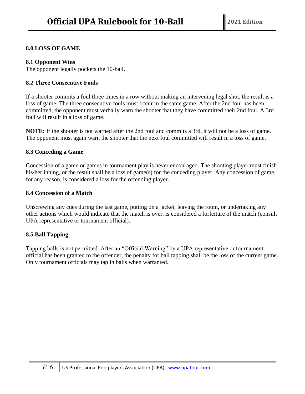#### **8.0 LOSS OF GAME**

#### **8.1 Opponent Wins**

The opponent legally pockets the 10-ball.

#### **8.2 Three Consecutive Fouls**

If a shooter commits a foul three times in a row without making an intervening legal shot, the result is a loss of game. The three consecutive fouls must occur in the same game. After the 2nd foul has been committed, the opponent must verbally warn the shooter that they have committed their 2nd foul. A 3rd foul will result in a loss of game.

**NOTE:** If the shooter is not warned after the 2nd foul and commits a 3rd, it will not be a loss of game. The opponent must again warn the shooter that the next foul committed will result in a loss of game.

#### **8.3 Conceding a Game**

Concession of a game or games in tournament play is never encouraged. The shooting player must finish his/her inning, or the result shall be a loss of game(s) for the conceding player. Any concession of game, for any reason, is considered a loss for the offending player.

#### **8.4 Concession of a Match**

Unscrewing any cues during the last game, putting on a jacket, leaving the room, or undertaking any other actions which would indicate that the match is over, is considered a forfeiture of the match (consult UPA representative or tournament official).

#### **8.5 Ball Tapping**

Tapping balls is not permitted. After an "Official Warning" by a UPA representative or tournament official has been granted to the offender, the penalty for ball tapping shall be the loss of the current game. Only tournament officials may tap in balls when warranted.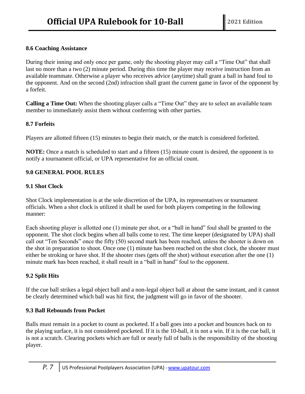# **8.6 Coaching Assistance**

During their inning and only once per game, only the shooting player may call a "Time Out" that shall last no more than a two (2) minute period. During this time the player may receive instruction from an available teammate. Otherwise a player who receives advice (anytime) shall grant a ball in hand foul to the opponent. And on the second (2nd) infraction shall grant the current game in favor of the opponent by a forfeit.

**Calling a Time Out:** When the shooting player calls a "Time Out" they are to select an available team member to immediately assist them without conferring with other parties.

#### **8.7 Forfeits**

Players are allotted fifteen (15) minutes to begin their match, or the match is considered forfeited.

**NOTE:** Once a match is scheduled to start and a fifteen (15) minute count is desired, the opponent is to notify a tournament official, or UPA representative for an official count.

# **9.0 GENERAL POOL RULES**

#### **9.1 Shot Clock**

Shot Clock implementation is at the sole discretion of the UPA, its representatives or tournament officials. When a shot clock is utilized it shall be used for both players competing in the following manner:

Each shooting player is allotted one (1) minute per shot, or a "ball in hand" foul shall be granted to the opponent. The shot clock begins when all balls come to rest. The time keeper (designated by UPA) shall call out "Ten Seconds" once the fifty (50) second mark has been reached, unless the shooter is down on the shot in preparation to shoot. Once one (1) minute has been reached on the shot clock, the shooter must either be stroking or have shot. If the shooter rises (gets off the shot) without execution after the one (1) minute mark has been reached, it shall result in a "ball in hand" foul to the opponent.

# **9.2 Split Hits**

If the cue ball strikes a legal object ball and a non-legal object ball at about the same instant, and it cannot be clearly determined which ball was hit first, the judgment will go in favor of the shooter.

# **9.3 Ball Rebounds from Pocket**

Balls must remain in a pocket to count as pocketed. If a ball goes into a pocket and bounces back on to the playing surface, it is not considered pocketed. If it is the 10-ball, it is not a win. If it is the cue ball, it is not a scratch. Clearing pockets which are full or nearly full of balls is the responsibility of the shooting player.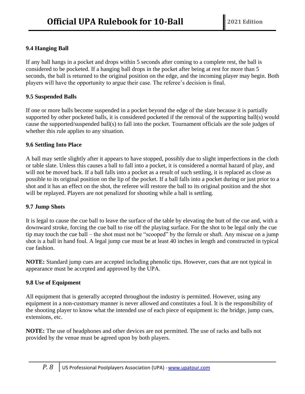# **9.4 Hanging Ball**

If any ball hangs in a pocket and drops within 5 seconds after coming to a complete rest, the ball is considered to be pocketed. If a hanging ball drops in the pocket after being at rest for more than 5 seconds, the ball is returned to the original position on the edge, and the incoming player may begin. Both players will have the opportunity to argue their case. The referee's decision is final.

#### **9.5 Suspended Balls**

If one or more balls become suspended in a pocket beyond the edge of the slate because it is partially supported by other pocketed balls, it is considered pocketed if the removal of the supporting ball(s) would cause the supported/suspended ball(s) to fall into the pocket. Tournament officials are the sole judges of whether this rule applies to any situation.

#### **9.6 Settling Into Place**

A ball may settle slightly after it appears to have stopped, possibly due to slight imperfections in the cloth or table slate. Unless this causes a ball to fall into a pocket, it is considered a normal hazard of play, and will not be moved back. If a ball falls into a pocket as a result of such settling, it is replaced as close as possible to its original position on the lip of the pocket. If a ball falls into a pocket during or just prior to a shot and it has an effect on the shot, the referee will restore the ball to its original position and the shot will be replayed. Players are not penalized for shooting while a ball is settling.

#### **9.7 Jump Shots**

It is legal to cause the cue ball to leave the surface of the table by elevating the butt of the cue and, with a downward stroke, forcing the cue ball to rise off the playing surface. For the shot to be legal only the cue tip may touch the cue ball – the shot must not be "scooped" by the ferrule or shaft. Any miscue on a jump shot is a ball in hand foul. A legal jump cue must be at least 40 inches in length and constructed in typical cue fashion.

**NOTE:** Standard jump cues are accepted including phenolic tips. However, cues that are not typical in appearance must be accepted and approved by the UPA.

#### **9.8 Use of Equipment**

All equipment that is generally accepted throughout the industry is permitted. However, using any equipment in a non-customary manner is never allowed and constitutes a foul. It is the responsibility of the shooting player to know what the intended use of each piece of equipment is: the bridge, jump cues, extensions, etc.

**NOTE:** The use of headphones and other devices are not permitted. The use of racks and balls not provided by the venue must be agreed upon by both players.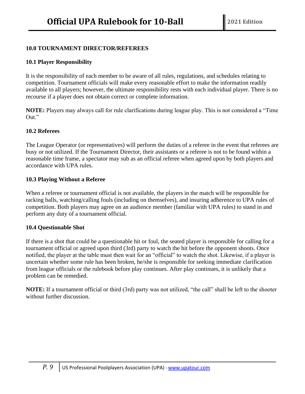## **10.0 TOURNAMENT DIRECTOR/REFEREES**

#### **10.1 Player Responsibility**

It is the responsibility of each member to be aware of all rules, regulations, and schedules relating to competition. Tournament officials will make every reasonable effort to make the information readily available to all players; however, the ultimate responsibility rests with each individual player. There is no recourse if a player does not obtain correct or complete information.

**NOTE:** Players may always call for rule clarifications during league play. This is not considered a "Time Out."

#### **10.2 Referees**

The League Operator (or representatives) will perform the duties of a referee in the event that referees are busy or not utilized. If the Tournament Director, their assistants or a referee is not to be found within a reasonable time frame, a spectator may sub as an official referee when agreed upon by both players and accordance with UPA rules.

#### **10.3 Playing Without a Referee**

When a referee or tournament official is not available, the players in the match will be responsible for racking balls, watching/calling fouls (including on themselves), and insuring adherence to UPA rules of competition. Both players may agree on an audience member (familiar with UPA rules) to stand in and perform any duty of a tournament official.

#### **10.4 Questionable Shot**

If there is a shot that could be a questionable hit or foul, the seated player is responsible for calling for a tournament official or agreed upon third (3rd) party to watch the hit before the opponent shoots. Once notified, the player at the table must then wait for an "official" to watch the shot. Likewise, if a player is uncertain whether some rule has been broken, he/she is responsible for seeking immediate clarification from league officials or the rulebook before play continues. After play continues, it is unlikely that a problem can be remedied.

**NOTE:** If a tournament official or third (3rd) party was not utilized, "the call" shall be left to the shooter without further discussion.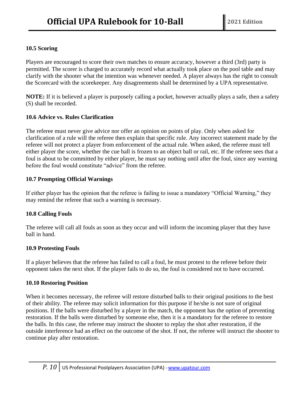# **10.5 Scoring**

Players are encouraged to score their own matches to ensure accuracy, however a third (3rd) party is permitted. The scorer is charged to accurately record what actually took place on the pool table and may clarify with the shooter what the intention was whenever needed. A player always has the right to consult the Scorecard with the scorekeeper. Any disagreements shall be determined by a UPA representative.

**NOTE:** If it is believed a player is purposely calling a pocket, however actually plays a safe, then a safety (S) shall be recorded.

#### **10.6 Advice vs. Rules Clarification**

The referee must never give advice nor offer an opinion on points of play. Only when asked for clarification of a rule will the referee then explain that specific rule. Any incorrect statement made by the referee will not protect a player from enforcement of the actual rule. When asked, the referee must tell either player the score, whether the cue ball is frozen to an object ball or rail, etc. If the referee sees that a foul is about to be committed by either player, he must say nothing until after the foul, since any warning before the foul would constitute "advice" from the referee.

#### **10.7 Prompting Official Warnings**

If either player has the opinion that the referee is failing to issue a mandatory "Official Warning," they may remind the referee that such a warning is necessary.

#### **10.8 Calling Fouls**

The referee will call all fouls as soon as they occur and will inform the incoming player that they have ball in hand.

#### **10.9 Protesting Fouls**

If a player believes that the referee has failed to call a foul, he must protest to the referee before their opponent takes the next shot. If the player fails to do so, the foul is considered not to have occurred.

#### **10.10 Restoring Position**

When it becomes necessary, the referee will restore disturbed balls to their original positions to the best of their ability. The referee may solicit information for this purpose if he/she is not sure of original positions. If the balls were disturbed by a player in the match, the opponent has the option of preventing restoration. If the balls were disturbed by someone else, then it is a mandatory for the referee to restore the balls. In this case, the referee may instruct the shooter to replay the shot after restoration, if the outside interference had an effect on the outcome of the shot. If not, the referee will instruct the shooter to continue play after restoration.